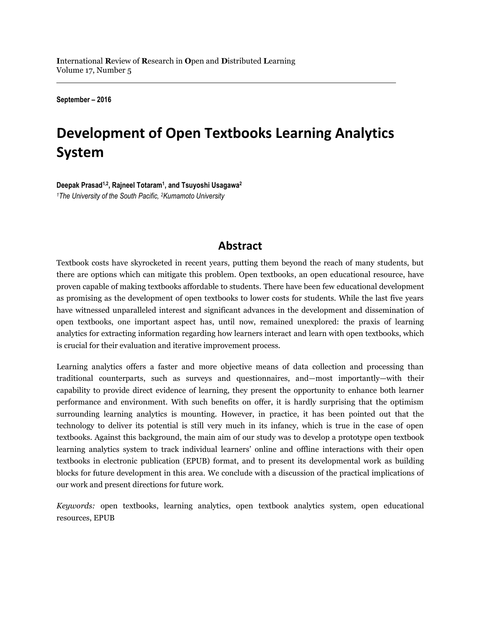**September – 2016**

# **Development of Open Textbooks Learning Analytics System**

**Deepak Prasad1,2 , Rajneel Totaram<sup>1</sup> , and Tsuyoshi Usagawa<sup>2</sup>** *<sup>1</sup>The University of the South Pacific, 2Kumamoto University*

### **Abstract**

Textbook costs have skyrocketed in recent years, putting them beyond the reach of many students, but there are options which can mitigate this problem. Open textbooks, an open educational resource, have proven capable of making textbooks affordable to students. There have been few educational development as promising as the development of open textbooks to lower costs for students. While the last five years have witnessed unparalleled interest and significant advances in the development and dissemination of open textbooks, one important aspect has, until now, remained unexplored: the praxis of learning analytics for extracting information regarding how learners interact and learn with open textbooks, which is crucial for their evaluation and iterative improvement process.

Learning analytics offers a faster and more objective means of data collection and processing than traditional counterparts, such as surveys and questionnaires, and—most importantly—with their capability to provide direct evidence of learning, they present the opportunity to enhance both learner performance and environment. With such benefits on offer, it is hardly surprising that the optimism surrounding learning analytics is mounting. However, in practice, it has been pointed out that the technology to deliver its potential is still very much in its infancy, which is true in the case of open textbooks. Against this background, the main aim of our study was to develop a prototype open textbook learning analytics system to track individual learners' online and offline interactions with their open textbooks in electronic publication (EPUB) format, and to present its developmental work as building blocks for future development in this area. We conclude with a discussion of the practical implications of our work and present directions for future work.

*Keywords:* open textbooks, learning analytics, open textbook analytics system, open educational resources, EPUB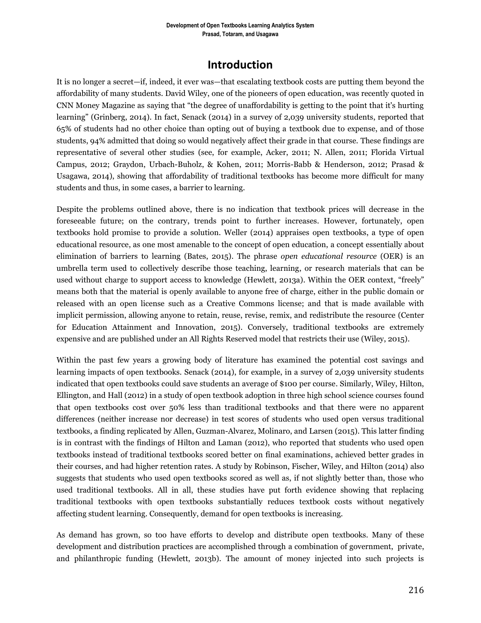### **Introduction**

It is no longer a secret—if, indeed, it ever was—that escalating textbook costs are putting them beyond the affordability of many students. David Wiley, one of the pioneers of open education, was recently quoted in CNN Money Magazine as saying that "the degree of unaffordability is getting to the point that it's hurting learning" (Grinberg, 2014). In fact, Senack (2014) in a survey of 2,039 university students, reported that 65% of students had no other choice than opting out of buying a textbook due to expense, and of those students, 94% admitted that doing so would negatively affect their grade in that course. These findings are representative of several other studies (see, for example, Acker, 2011; N. Allen, 2011; Florida Virtual Campus, 2012; Graydon, Urbach-Buholz, & Kohen, 2011; Morris-Babb & Henderson, 2012; Prasad & Usagawa, 2014), showing that affordability of traditional textbooks has become more difficult for many students and thus, in some cases, a barrier to learning.

Despite the problems outlined above, there is no indication that textbook prices will decrease in the foreseeable future; on the contrary, trends point to further increases. However, fortunately, open textbooks hold promise to provide a solution. Weller (2014) appraises open textbooks, a type of open educational resource, as one most amenable to the concept of open education, a concept essentially about elimination of barriers to learning (Bates, 2015). The phrase *open educational resource* (OER) is an umbrella term used to collectively describe those teaching, learning, or research materials that can be used without charge to support access to knowledge (Hewlett, 2013a). Within the OER context, "freely" means both that the material is openly available to anyone free of charge, either in the public domain or released with an open license such as a Creative Commons license; and that is made available with implicit permission, allowing anyone to retain, reuse, revise, remix, and redistribute the resource (Center for Education Attainment and Innovation, 2015). Conversely, traditional textbooks are extremely expensive and are published under an All Rights Reserved model that restricts their use (Wiley, 2015).

Within the past few years a growing body of literature has examined the potential cost savings and learning impacts of open textbooks. Senack (2014), for example, in a survey of 2,039 university students indicated that open textbooks could save students an average of \$100 per course. Similarly, Wiley, Hilton, Ellington, and Hall (2012) in a study of open textbook adoption in three high school science courses found that open textbooks cost over 50% less than traditional textbooks and that there were no apparent differences (neither increase nor decrease) in test scores of students who used open versus traditional textbooks, a finding replicated by Allen, Guzman-Alvarez, Molinaro, and Larsen (2015). This latter finding is in contrast with the findings of Hilton and Laman (2012), who reported that students who used open textbooks instead of traditional textbooks scored better on final examinations, achieved better grades in their courses, and had higher retention rates. A study by Robinson, Fischer, Wiley, and Hilton (2014) also suggests that students who used open textbooks scored as well as, if not slightly better than, those who used traditional textbooks. All in all, these studies have put forth evidence showing that replacing traditional textbooks with open textbooks substantially reduces textbook costs without negatively affecting student learning. Consequently, demand for open textbooks is increasing.

As demand has grown, so too have efforts to develop and distribute open textbooks. Many of these development and distribution practices are accomplished through a combination of government, private, and philanthropic funding (Hewlett, 2013b). The amount of money injected into such projects is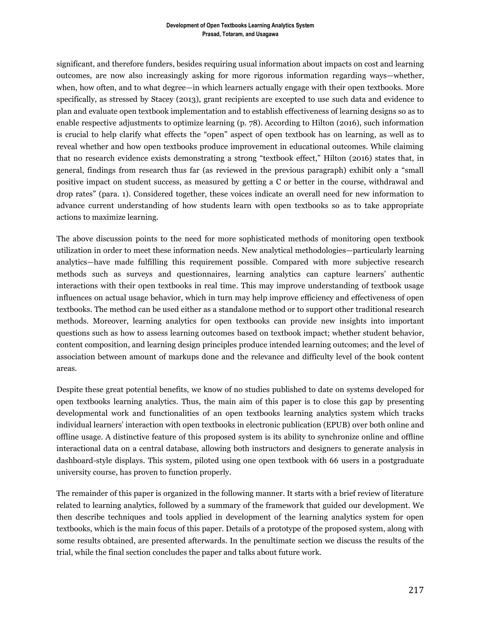significant, and therefore funders, besides requiring usual information about impacts on cost and learning outcomes, are now also increasingly asking for more rigorous information regarding ways—whether, when, how often, and to what degree—in which learners actually engage with their open textbooks. More specifically, as stressed by Stacey (2013), grant recipients are excepted to use such data and evidence to plan and evaluate open textbook implementation and to establish effectiveness of learning designs so as to enable respective adjustments to optimize learning (p. 78). According to Hilton (2016), such information is crucial to help clarify what effects the "open" aspect of open textbook has on learning, as well as to reveal whether and how open textbooks produce improvement in educational outcomes. While claiming that no research evidence exists demonstrating a strong "textbook effect," Hilton (2016) states that, in general, findings from research thus far (as reviewed in the previous paragraph) exhibit only a "small positive impact on student success, as measured by getting a C or better in the course, withdrawal and drop rates" (para. 1). Considered together, these voices indicate an overall need for new information to advance current understanding of how students learn with open textbooks so as to take appropriate actions to maximize learning.

The above discussion points to the need for more sophisticated methods of monitoring open textbook utilization in order to meet these information needs. New analytical methodologies—particularly learning analytics—have made fulfilling this requirement possible. Compared with more subjective research methods such as surveys and questionnaires, learning analytics can capture learners' authentic interactions with their open textbooks in real time. This may improve understanding of textbook usage influences on actual usage behavior, which in turn may help improve efficiency and effectiveness of open textbooks. The method can be used either as a standalone method or to support other traditional research methods. Moreover, learning analytics for open textbooks can provide new insights into important questions such as how to assess learning outcomes based on textbook impact; whether student behavior, content composition, and learning design principles produce intended learning outcomes; and the level of association between amount of markups done and the relevance and difficulty level of the book content areas.

Despite these great potential benefits, we know of no studies published to date on systems developed for open textbooks learning analytics. Thus, the main aim of this paper is to close this gap by presenting developmental work and functionalities of an open textbooks learning analytics system which tracks individual learners' interaction with open textbooks in electronic publication (EPUB) over both online and offline usage. A distinctive feature of this proposed system is its ability to synchronize online and offline interactional data on a central database, allowing both instructors and designers to generate analysis in dashboard-style displays. This system, piloted using one open textbook with 66 users in a postgraduate university course, has proven to function properly.

The remainder of this paper is organized in the following manner. It starts with a brief review of literature related to learning analytics, followed by a summary of the framework that guided our development. We then describe techniques and tools applied in development of the learning analytics system for open textbooks, which is the main focus of this paper. Details of a prototype of the proposed system, along with some results obtained, are presented afterwards. In the penultimate section we discuss the results of the trial, while the final section concludes the paper and talks about future work.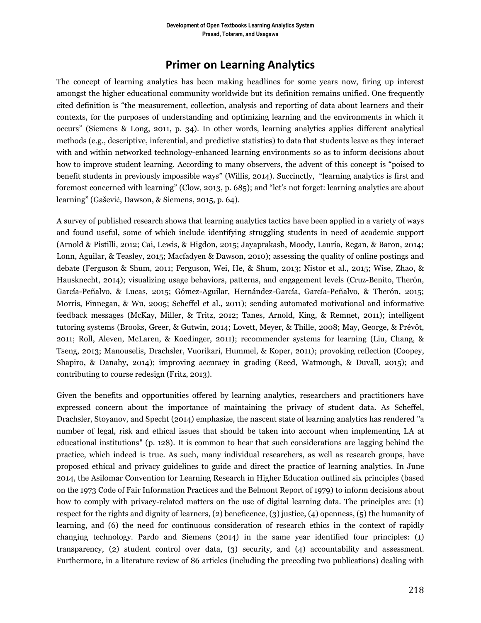### **Primer on Learning Analytics**

The concept of learning analytics has been making headlines for some years now, firing up interest amongst the higher educational community worldwide but its definition remains unified. One frequently cited definition is "the measurement, collection, analysis and reporting of data about learners and their contexts, for the purposes of understanding and optimizing learning and the environments in which it occurs" (Siemens & Long, 2011, p. 34). In other words, learning analytics applies different analytical methods (e.g., descriptive, inferential, and predictive statistics) to data that students leave as they interact with and within networked technology-enhanced learning environments so as to inform decisions about how to improve student learning. According to many observers, the advent of this concept is "poised to benefit students in previously impossible ways" (Willis, 2014). Succinctly, "learning analytics is first and foremost concerned with learning" (Clow, 2013, p. 685); and "let's not forget: learning analytics are about learning" (Gašević, Dawson, & Siemens, 2015, p. 64).

A survey of published research shows that learning analytics tactics have been applied in a variety of ways and found useful, some of which include identifying struggling students in need of academic support (Arnold & Pistilli, 2012; Cai, Lewis, & Higdon, 2015; Jayaprakash, Moody, Lauría, Regan, & Baron, 2014; Lonn, Aguilar, & Teasley, 2015; Macfadyen & Dawson, 2010); assessing the quality of online postings and debate (Ferguson & Shum, 2011; Ferguson, Wei, He, & Shum, 2013; Nistor et al., 2015; Wise, Zhao, & Hausknecht, 2014); visualizing usage behaviors, patterns, and engagement levels (Cruz-Benito, Therón, García-Peñalvo, & Lucas, 2015; Gómez-Aguilar, Hernández-García, García-Peñalvo, & Therón, 2015; Morris, Finnegan, & Wu, 2005; Scheffel et al., 2011); sending automated motivational and informative feedback messages (McKay, Miller, & Tritz, 2012; Tanes, Arnold, King, & Remnet, 2011); intelligent tutoring systems (Brooks, Greer, & Gutwin, 2014; Lovett, Meyer, & Thille, 2008; May, George, & Prévôt, 2011; Roll, Aleven, McLaren, & Koedinger, 2011); recommender systems for learning (Liu, Chang, & Tseng, 2013; Manouselis, Drachsler, Vuorikari, Hummel, & Koper, 2011); provoking reflection (Coopey, Shapiro, & Danahy, 2014); improving accuracy in grading (Reed, Watmough, & Duvall, 2015); and contributing to course redesign (Fritz, 2013).

Given the benefits and opportunities offered by learning analytics, researchers and practitioners have expressed concern about the importance of maintaining the privacy of student data. As Scheffel, Drachsler, Stoyanov, and Specht (2014) emphasize, the nascent state of learning analytics has rendered "a number of legal, risk and ethical issues that should be taken into account when implementing LA at educational institutions" (p. 128). It is common to hear that such considerations are lagging behind the practice, which indeed is true. As such, many individual researchers, as well as research groups, have proposed ethical and privacy guidelines to guide and direct the practice of learning analytics. In June 2014, the Asilomar Convention for Learning Research in Higher Education outlined six principles (based on the 1973 Code of Fair Information Practices and the Belmont Report of 1979) to inform decisions about how to comply with privacy-related matters on the use of digital learning data. The principles are: (1) respect for the rights and dignity of learners, (2) beneficence, (3) justice, (4) openness, (5) the humanity of learning, and (6) the need for continuous consideration of research ethics in the context of rapidly changing technology. Pardo and Siemens (2014) in the same year identified four principles: (1) transparency, (2) student control over data, (3) security, and (4) accountability and assessment. Furthermore, in a literature review of 86 articles (including the preceding two publications) dealing with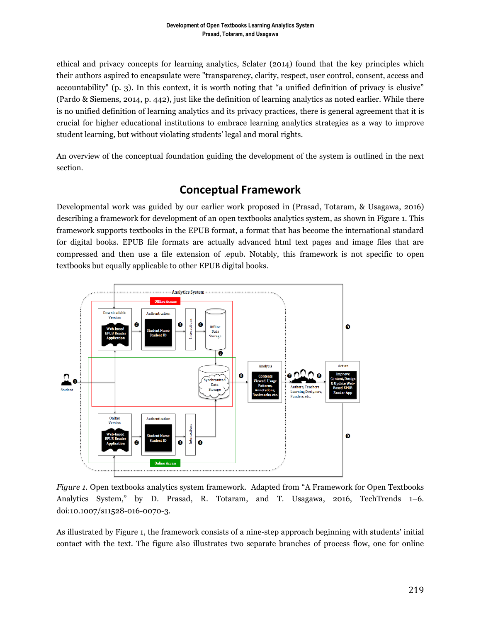ethical and privacy concepts for learning analytics, Sclater (2014) found that the key principles which their authors aspired to encapsulate were "transparency, clarity, respect, user control, consent, access and accountability" (p. 3). In this context, it is worth noting that "a unified definition of privacy is elusive" (Pardo & Siemens, 2014, p. 442), just like the definition of learning analytics as noted earlier. While there is no unified definition of learning analytics and its privacy practices, there is general agreement that it is crucial for higher educational institutions to embrace learning analytics strategies as a way to improve student learning, but without violating students' legal and moral rights.

An overview of the conceptual foundation guiding the development of the system is outlined in the next section.

### **Conceptual Framework**

Developmental work was guided by our earlier work proposed in (Prasad, Totaram, & Usagawa, 2016) describing a framework for development of an open textbooks analytics system, as shown in Figure 1. This framework supports textbooks in the EPUB format, a format that has become the international standard for digital books. EPUB file formats are actually advanced html text pages and image files that are compressed and then use a file extension of .epub. Notably, this framework is not specific to open textbooks but equally applicable to other EPUB digital books.



*Figure 1.* Open textbooks analytics system framework. Adapted from "A Framework for Open Textbooks Analytics System," by D. Prasad, R. Totaram, and T. Usagawa, 2016, TechTrends 1–6. doi:10.1007/s11528-016-0070-3.

As illustrated by Figure 1, the framework consists of a nine-step approach beginning with students' initial contact with the text. The figure also illustrates two separate branches of process flow, one for online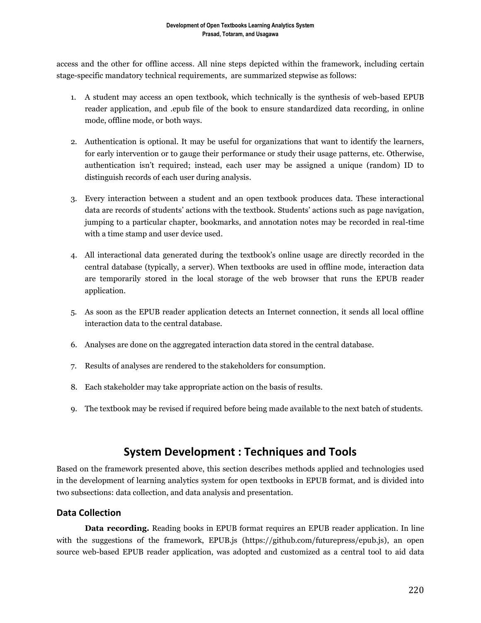access and the other for offline access. All nine steps depicted within the framework, including certain stage-specific mandatory technical requirements, are summarized stepwise as follows:

- 1. A student may access an open textbook, which technically is the synthesis of web-based EPUB reader application, and .epub file of the book to ensure standardized data recording, in online mode, offline mode, or both ways.
- 2. Authentication is optional. It may be useful for organizations that want to identify the learners, for early intervention or to gauge their performance or study their usage patterns, etc. Otherwise, authentication isn't required; instead, each user may be assigned a unique (random) ID to distinguish records of each user during analysis.
- 3. Every interaction between a student and an open textbook produces data. These interactional data are records of students' actions with the textbook. Students' actions such as page navigation, jumping to a particular chapter, bookmarks, and annotation notes may be recorded in real-time with a time stamp and user device used.
- 4. All interactional data generated during the textbook's online usage are directly recorded in the central database (typically, a server). When textbooks are used in offline mode, interaction data are temporarily stored in the local storage of the web browser that runs the EPUB reader application.
- 5. As soon as the EPUB reader application detects an Internet connection, it sends all local offline interaction data to the central database.
- 6. Analyses are done on the aggregated interaction data stored in the central database.
- 7. Results of analyses are rendered to the stakeholders for consumption.
- 8. Each stakeholder may take appropriate action on the basis of results.
- 9. The textbook may be revised if required before being made available to the next batch of students.

### **System Development : Techniques and Tools**

Based on the framework presented above, this section describes methods applied and technologies used in the development of learning analytics system for open textbooks in EPUB format, and is divided into two subsections: data collection, and data analysis and presentation.

#### **Data Collection**

**Data recording.** Reading books in EPUB format requires an EPUB reader application. In line with the suggestions of the framework, EPUB.js (https://github.com/futurepress/epub.js), an open source web-based EPUB reader application, was adopted and customized as a central tool to aid data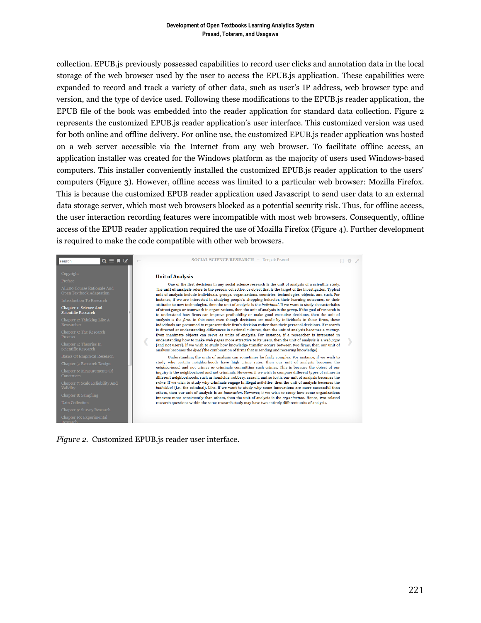collection. EPUB.js previously possessed capabilities to record user clicks and annotation data in the local storage of the web browser used by the user to access the EPUB.js application. These capabilities were expanded to record and track a variety of other data, such as user's IP address, web browser type and version, and the type of device used. Following these modifications to the EPUB.js reader application, the EPUB file of the book was embedded into the reader application for standard data collection. Figure 2 represents the customized EPUB.js reader application's user interface. This customized version was used for both online and offline delivery. For online use, the customized EPUB.js reader application was hosted on a web server accessible via the Internet from any web browser. To facilitate offline access, an application installer was created for the Windows platform as the majority of users used Windows-based computers. This installer conveniently installed the customized EPUB.js reader application to the users' computers (Figure 3). However, offline access was limited to a particular web browser: Mozilla Firefox. This is because the customized EPUB reader application used Javascript to send user data to an external data storage server, which most web browsers blocked as a potential security risk. Thus, for offline access, the user interaction recording features were incompatible with most web browsers. Consequently, offline access of the EPUB reader application required the use of Mozilla Firefox (Figure 4). Further development is required to make the code compatible with other web browsers.



*Figure 2.* Customized EPUB.js reader user interface.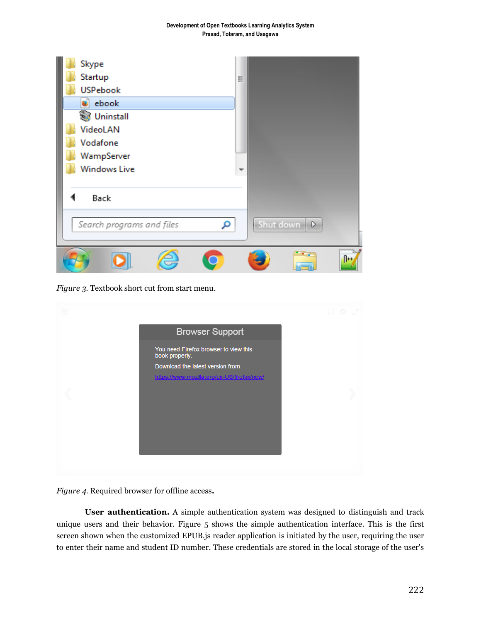| Skype<br>Startup<br><b>USPebook</b><br>ebook<br>U.<br>Uninstall<br>VideoLAN<br>Vodafone<br>WampServer<br><b>Windows Live</b> | Ξ<br>≖ |               |     |
|------------------------------------------------------------------------------------------------------------------------------|--------|---------------|-----|
| Back                                                                                                                         |        |               |     |
| Search programs and files                                                                                                    | م      | Shut down   D |     |
|                                                                                                                              |        |               | N++ |

*Figure 3.* Textbook short cut from start menu.



*Figure 4.* Required browser for offline access*.*

**User authentication.** A simple authentication system was designed to distinguish and track unique users and their behavior. Figure 5 shows the simple authentication interface. This is the first screen shown when the customized EPUB.js reader application is initiated by the user, requiring the user to enter their name and student ID number. These credentials are stored in the local storage of the user's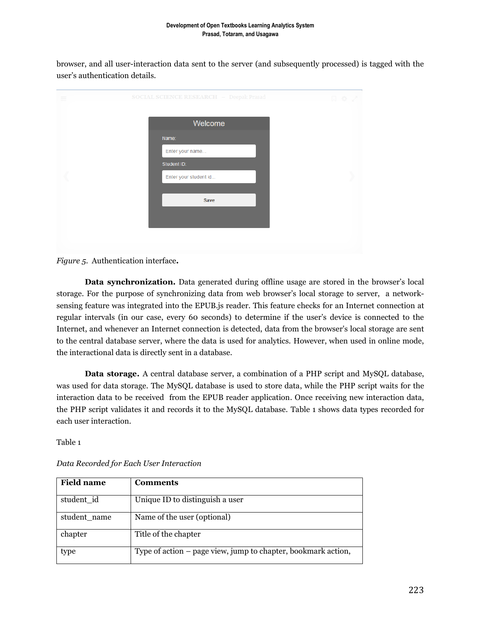browser, and all user-interaction data sent to the server (and subsequently processed) is tagged with the user's authentication details.

| $=$ | <b>SOCIAL SCIENCE RESEARCH - Deepak Prasad</b> | 口登之 |
|-----|------------------------------------------------|-----|
|     |                                                |     |
|     | Welcome                                        |     |
|     | Name:                                          |     |
|     | Enter your name                                |     |
|     | Student ID:                                    |     |
| ∢   | Enter your student id                          | ٦   |
|     |                                                |     |
|     | Save                                           |     |
|     |                                                |     |
|     |                                                |     |
|     |                                                |     |

*Figure 5*. Authentication interface*.*

**Data synchronization.** Data generated during offline usage are stored in the browser's local storage. For the purpose of synchronizing data from web browser's local storage to server, a networksensing feature was integrated into the EPUB.js reader. This feature checks for an Internet connection at regular intervals (in our case, every 60 seconds) to determine if the user's device is connected to the Internet, and whenever an Internet connection is detected, data from the browser's local storage are sent to the central database server, where the data is used for analytics. However, when used in online mode, the interactional data is directly sent in a database.

**Data storage.** A central database server, a combination of a PHP script and MySQL database, was used for data storage. The MySQL database is used to store data, while the PHP script waits for the interaction data to be received from the EPUB reader application. Once receiving new interaction data, the PHP script validates it and records it to the MySQL database. Table 1 shows data types recorded for each user interaction.

Table 1

| <b>Field name</b> | <b>Comments</b>                                               |
|-------------------|---------------------------------------------------------------|
| student_id        | Unique ID to distinguish a user                               |
| student_name      | Name of the user (optional)                                   |
| chapter           | Title of the chapter                                          |
| type              | Type of action - page view, jump to chapter, bookmark action, |

*Data Recorded for Each User Interaction*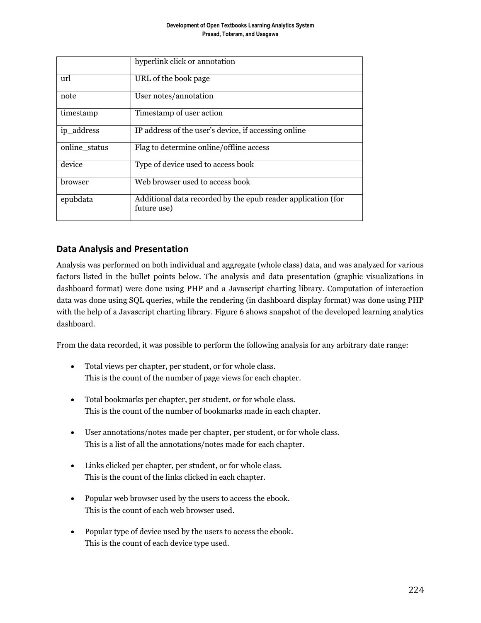|                | hyperlink click or annotation                                               |
|----------------|-----------------------------------------------------------------------------|
| url            | URL of the book page                                                        |
| note           | User notes/annotation                                                       |
| timestamp      | Timestamp of user action                                                    |
| ip_address     | IP address of the user's device, if accessing online                        |
| online_status  | Flag to determine online/offline access                                     |
| device         | Type of device used to access book                                          |
| <b>browser</b> | Web browser used to access book                                             |
| epubdata       | Additional data recorded by the epub reader application (for<br>future use) |

### **Data Analysis and Presentation**

Analysis was performed on both individual and aggregate (whole class) data, and was analyzed for various factors listed in the bullet points below. The analysis and data presentation (graphic visualizations in dashboard format) were done using PHP and a Javascript charting library. Computation of interaction data was done using SQL queries, while the rendering (in dashboard display format) was done using PHP with the help of a Javascript charting library. Figure 6 shows snapshot of the developed learning analytics dashboard.

From the data recorded, it was possible to perform the following analysis for any arbitrary date range:

- Total views per chapter, per student, or for whole class. This is the count of the number of page views for each chapter.
- Total bookmarks per chapter, per student, or for whole class. This is the count of the number of bookmarks made in each chapter.
- User annotations/notes made per chapter, per student, or for whole class. This is a list of all the annotations/notes made for each chapter.
- Links clicked per chapter, per student, or for whole class. This is the count of the links clicked in each chapter.
- Popular web browser used by the users to access the ebook. This is the count of each web browser used.
- Popular type of device used by the users to access the ebook. This is the count of each device type used.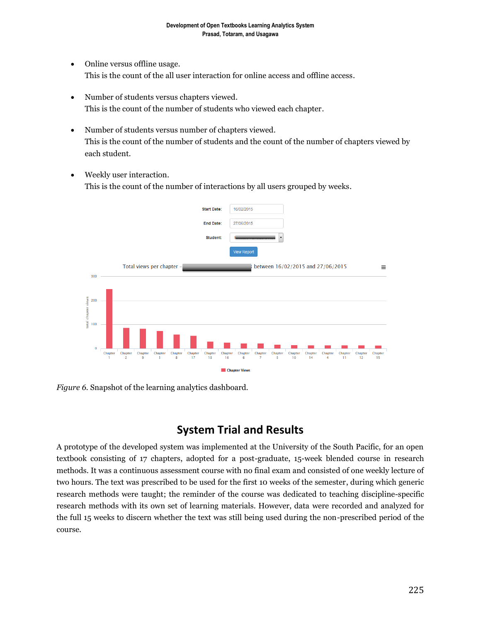- Online versus offline usage. This is the count of the all user interaction for online access and offline access.
- Number of students versus chapters viewed. This is the count of the number of students who viewed each chapter.
- Number of students versus number of chapters viewed. This is the count of the number of students and the count of the number of chapters viewed by each student.
- Weekly user interaction. This is the count of the number of interactions by all users grouped by weeks.

|                      |               |                           |              |                                    |              |               | <b>Start Date:</b> |               | 16/02/2015                 |                           |                      |               |                                   |              |               |               |               |
|----------------------|---------------|---------------------------|--------------|------------------------------------|--------------|---------------|--------------------|---------------|----------------------------|---------------------------|----------------------|---------------|-----------------------------------|--------------|---------------|---------------|---------------|
|                      |               |                           |              |                                    |              |               | <b>End Date:</b>   |               | 27/06/2015                 |                           |                      |               |                                   |              |               |               |               |
|                      |               |                           |              |                                    |              |               | <b>Student:</b>    |               |                            |                           | $\blacktriangledown$ |               |                                   |              |               |               |               |
|                      |               |                           |              |                                    |              |               |                    |               | View Report                |                           |                      |               |                                   |              |               |               |               |
|                      |               |                           |              | Total views per chapter -          |              |               |                    |               |                            |                           |                      |               | between 16/02/2015 and 27/06/2015 |              |               |               | Ξ             |
| 300                  |               |                           |              |                                    |              |               |                    |               |                            |                           |                      |               |                                   |              |               |               |               |
| 200                  |               |                           |              |                                    |              |               |                    |               |                            |                           |                      |               |                                   |              |               |               |               |
| total chapter views  |               |                           |              |                                    |              |               |                    |               |                            |                           |                      |               |                                   |              |               |               |               |
| 100                  |               |                           |              |                                    |              |               |                    |               |                            |                           |                      |               |                                   |              |               |               |               |
|                      |               |                           |              |                                    |              |               |                    |               |                            |                           |                      |               |                                   |              |               |               |               |
| $\pmb{0}$            | Chapter<br>-1 | Chapter<br>$\overline{2}$ | Chapter<br>9 | Chapter<br>$\overline{\mathbf{5}}$ | Chapter<br>8 | Chapter<br>17 | Chapter<br>13      | Chapter<br>16 | Chapter<br>$6\phantom{1}6$ | Chapter<br>$\overline{7}$ | Chapter<br>3         | Chapter<br>10 | Chapter<br>14                     | Chapter<br>4 | Chapter<br>11 | Chapter<br>12 | Chapter<br>15 |
| <b>Chapter Views</b> |               |                           |              |                                    |              |               |                    |               |                            |                           |                      |               |                                   |              |               |               |               |

*Figure 6.* Snapshot of the learning analytics dashboard.

## **System Trial and Results**

A prototype of the developed system was implemented at the University of the South Pacific, for an open textbook consisting of 17 chapters, adopted for a post-graduate, 15-week blended course in research methods. It was a continuous assessment course with no final exam and consisted of one weekly lecture of two hours. The text was prescribed to be used for the first 10 weeks of the semester, during which generic research methods were taught; the reminder of the course was dedicated to teaching discipline-specific research methods with its own set of learning materials. However, data were recorded and analyzed for the full 15 weeks to discern whether the text was still being used during the non-prescribed period of the course.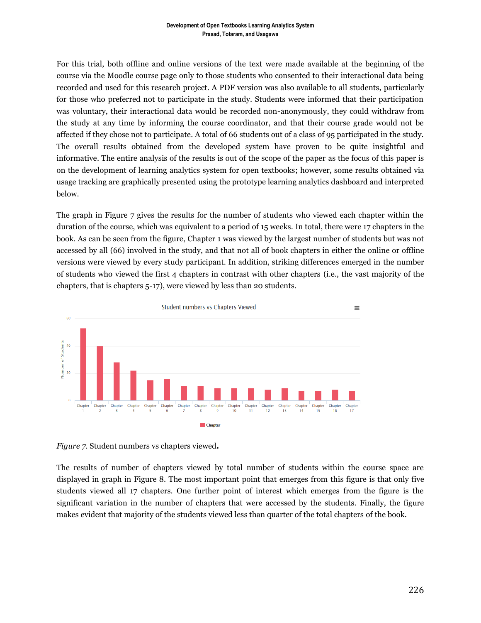For this trial, both offline and online versions of the text were made available at the beginning of the course via the Moodle course page only to those students who consented to their interactional data being recorded and used for this research project. A PDF version was also available to all students, particularly for those who preferred not to participate in the study. Students were informed that their participation was voluntary, their interactional data would be recorded non-anonymously, they could withdraw from the study at any time by informing the course coordinator, and that their course grade would not be affected if they chose not to participate. A total of 66 students out of a class of 95 participated in the study. The overall results obtained from the developed system have proven to be quite insightful and informative. The entire analysis of the results is out of the scope of the paper as the focus of this paper is on the development of learning analytics system for open textbooks; however, some results obtained via usage tracking are graphically presented using the prototype learning analytics dashboard and interpreted below.

The graph in Figure 7 gives the results for the number of students who viewed each chapter within the duration of the course, which was equivalent to a period of 15 weeks. In total, there were 17 chapters in the book. As can be seen from the figure, Chapter 1 was viewed by the largest number of students but was not accessed by all (66) involved in the study, and that not all of book chapters in either the online or offline versions were viewed by every study participant. In addition, striking differences emerged in the number of students who viewed the first 4 chapters in contrast with other chapters (i.e., the vast majority of the chapters, that is chapters 5-17), were viewed by less than 20 students.



*Figure 7.* Student numbers vs chapters viewed*.*

The results of number of chapters viewed by total number of students within the course space are displayed in graph in Figure 8. The most important point that emerges from this figure is that only five students viewed all 17 chapters. One further point of interest which emerges from the figure is the significant variation in the number of chapters that were accessed by the students. Finally, the figure makes evident that majority of the students viewed less than quarter of the total chapters of the book.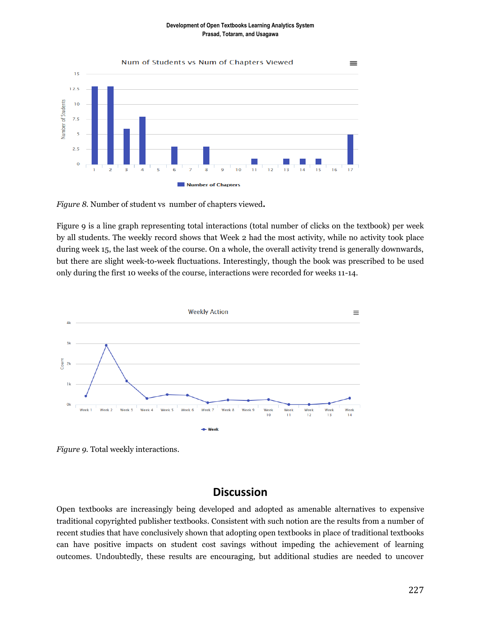#### **Development of Open Textbooks Learning Analytics System Prasad, Totaram, and Usagawa**



*Figure 8.* Number of student vs number of chapters viewed*.*

Figure 9 is a line graph representing total interactions (total number of clicks on the textbook) per week by all students. The weekly record shows that Week 2 had the most activity, while no activity took place during week 15, the last week of the course. On a whole, the overall activity trend is generally downwards, but there are slight week-to-week fluctuations. Interestingly, though the book was prescribed to be used only during the first 10 weeks of the course, interactions were recorded for weeks 11-14.



*Figure 9.* Total weekly interactions.

### **Discussion**

Open textbooks are increasingly being developed and adopted as amenable alternatives to expensive traditional copyrighted publisher textbooks. Consistent with such notion are the results from a number of recent studies that have conclusively shown that adopting open textbooks in place of traditional textbooks can have positive impacts on student cost savings without impeding the achievement of learning outcomes. Undoubtedly, these results are encouraging, but additional studies are needed to uncover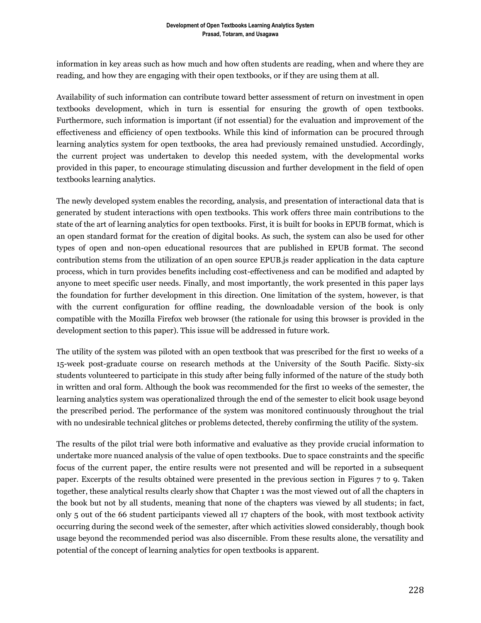information in key areas such as how much and how often students are reading, when and where they are reading, and how they are engaging with their open textbooks, or if they are using them at all.

Availability of such information can contribute toward better assessment of return on investment in open textbooks development, which in turn is essential for ensuring the growth of open textbooks. Furthermore, such information is important (if not essential) for the evaluation and improvement of the effectiveness and efficiency of open textbooks. While this kind of information can be procured through learning analytics system for open textbooks, the area had previously remained unstudied. Accordingly, the current project was undertaken to develop this needed system, with the developmental works provided in this paper, to encourage stimulating discussion and further development in the field of open textbooks learning analytics.

The newly developed system enables the recording, analysis, and presentation of interactional data that is generated by student interactions with open textbooks. This work offers three main contributions to the state of the art of learning analytics for open textbooks. First, it is built for books in EPUB format, which is an open standard format for the creation of digital books. As such, the system can also be used for other types of open and non-open educational resources that are published in EPUB format. The second contribution stems from the utilization of an open source EPUB.js reader application in the data capture process, which in turn provides benefits including cost-effectiveness and can be modified and adapted by anyone to meet specific user needs. Finally, and most importantly, the work presented in this paper lays the foundation for further development in this direction. One limitation of the system, however, is that with the current configuration for offline reading, the downloadable version of the book is only compatible with the Mozilla Firefox web browser (the rationale for using this browser is provided in the development section to this paper). This issue will be addressed in future work.

The utility of the system was piloted with an open textbook that was prescribed for the first 10 weeks of a 15-week post-graduate course on research methods at the University of the South Pacific. Sixty-six students volunteered to participate in this study after being fully informed of the nature of the study both in written and oral form. Although the book was recommended for the first 10 weeks of the semester, the learning analytics system was operationalized through the end of the semester to elicit book usage beyond the prescribed period. The performance of the system was monitored continuously throughout the trial with no undesirable technical glitches or problems detected, thereby confirming the utility of the system.

The results of the pilot trial were both informative and evaluative as they provide crucial information to undertake more nuanced analysis of the value of open textbooks. Due to space constraints and the specific focus of the current paper, the entire results were not presented and will be reported in a subsequent paper. Excerpts of the results obtained were presented in the previous section in Figures 7 to 9. Taken together, these analytical results clearly show that Chapter 1 was the most viewed out of all the chapters in the book but not by all students, meaning that none of the chapters was viewed by all students; in fact, only 5 out of the 66 student participants viewed all 17 chapters of the book, with most textbook activity occurring during the second week of the semester, after which activities slowed considerably, though book usage beyond the recommended period was also discernible. From these results alone, the versatility and potential of the concept of learning analytics for open textbooks is apparent.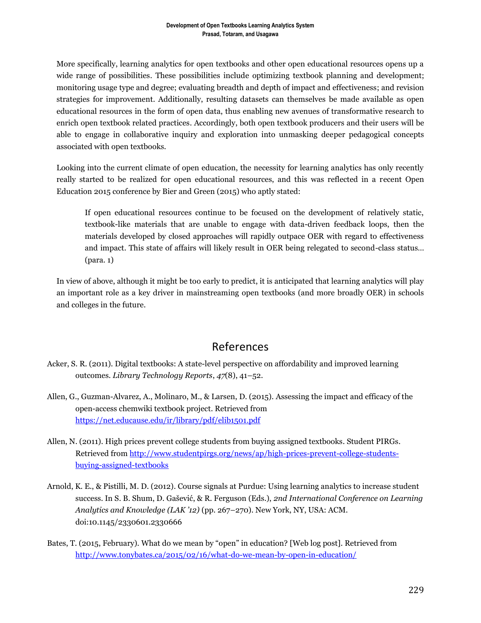More specifically, learning analytics for open textbooks and other open educational resources opens up a wide range of possibilities. These possibilities include optimizing textbook planning and development; monitoring usage type and degree; evaluating breadth and depth of impact and effectiveness; and revision strategies for improvement. Additionally, resulting datasets can themselves be made available as open educational resources in the form of open data, thus enabling new avenues of transformative research to enrich open textbook related practices. Accordingly, both open textbook producers and their users will be able to engage in collaborative inquiry and exploration into unmasking deeper pedagogical concepts associated with open textbooks.

Looking into the current climate of open education, the necessity for learning analytics has only recently really started to be realized for open educational resources, and this was reflected in a recent Open Education 2015 conference by Bier and Green (2015) who aptly stated:

If open educational resources continue to be focused on the development of relatively static, textbook-like materials that are unable to engage with data-driven feedback loops, then the materials developed by closed approaches will rapidly outpace OER with regard to effectiveness and impact. This state of affairs will likely result in OER being relegated to second-class status… (para. 1)

In view of above, although it might be too early to predict, it is anticipated that learning analytics will play an important role as a key driver in mainstreaming open textbooks (and more broadly OER) in schools and colleges in the future.

### References

- Acker, S. R. (2011). Digital textbooks: A state-level perspective on affordability and improved learning outcomes. *Library Technology Reports*, *47*(8), 41–52.
- Allen, G., Guzman-Alvarez, A., Molinaro, M., & Larsen, D. (2015). Assessing the impact and efficacy of the open-access chemwiki textbook project. Retrieved from <https://net.educause.edu/ir/library/pdf/elib1501.pdf>
- Allen, N. (2011). High prices prevent college students from buying assigned textbooks. Student PIRGs. Retrieved from [http://www.studentpirgs.org/news/ap/high-prices-prevent-college-students](http://www.studentpirgs.org/news/ap/high-prices-prevent-college-students-buying-assigned-textbooks)[buying-assigned-textbooks](http://www.studentpirgs.org/news/ap/high-prices-prevent-college-students-buying-assigned-textbooks)
- Arnold, K. E., & Pistilli, M. D. (2012). Course signals at Purdue: Using learning analytics to increase student success. In S. B. Shum, D. Gašević, & R. Ferguson (Eds.), *2nd International Conference on Learning Analytics and Knowledge (LAK '12)* (pp. 267–270). New York, NY, USA: ACM. doi:10.1145/2330601.2330666
- Bates, T. (2015, February). What do we mean by "open" in education? [Web log post]. Retrieved from <http://www.tonybates.ca/2015/02/16/what-do-we-mean-by-open-in-education/>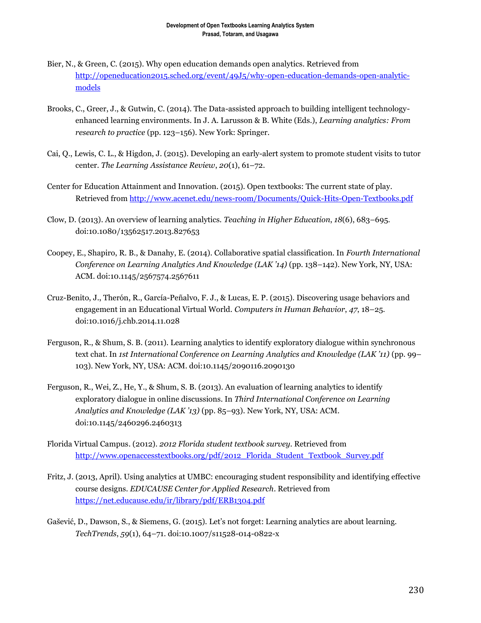- Bier, N., & Green, C. (2015). Why open education demands open analytics. Retrieved from [http://openeducation2015.sched.org/event/49J5/why-open-education-demands-open-analytic](http://openeducation2015.sched.org/event/49J5/why-open-education-demands-open-analytic-models)[models](http://openeducation2015.sched.org/event/49J5/why-open-education-demands-open-analytic-models)
- Brooks, C., Greer, J., & Gutwin, C. (2014). The Data-assisted approach to building intelligent technologyenhanced learning environments. In J. A. Larusson & B. White (Eds.), *Learning analytics: From research to practice* (pp. 123–156). New York: Springer.
- Cai, Q., Lewis, C. L., & Higdon, J. (2015). Developing an early-alert system to promote student visits to tutor center. *The Learning Assistance Review*, *20*(1), 61–72.
- Center for Education Attainment and Innovation. (2015). Open textbooks: The current state of play. Retrieved from<http://www.acenet.edu/news-room/Documents/Quick-Hits-Open-Textbooks.pdf>
- Clow, D. (2013). An overview of learning analytics. *Teaching in Higher Education*, *18*(6), 683–695. doi:10.1080/13562517.2013.827653
- Coopey, E., Shapiro, R. B., & Danahy, E. (2014). Collaborative spatial classification. In *Fourth International Conference on Learning Analytics And Knowledge (LAK '14)* (pp. 138–142). New York, NY, USA: ACM. doi:10.1145/2567574.2567611
- Cruz-Benito, J., Therón, R., García-Peñalvo, F. J., & Lucas, E. P. (2015). Discovering usage behaviors and engagement in an Educational Virtual World. *Computers in Human Behavior*, *47*, 18–25. doi:10.1016/j.chb.2014.11.028
- Ferguson, R., & Shum, S. B. (2011). Learning analytics to identify exploratory dialogue within synchronous text chat. In *1st International Conference on Learning Analytics and Knowledge (LAK '11)* (pp. 99– 103). New York, NY, USA: ACM. doi:10.1145/2090116.2090130
- Ferguson, R., Wei, Z., He, Y., & Shum, S. B. (2013). An evaluation of learning analytics to identify exploratory dialogue in online discussions. In *Third International Conference on Learning Analytics and Knowledge (LAK '13)* (pp. 85–93). New York, NY, USA: ACM. doi:10.1145/2460296.2460313
- Florida Virtual Campus. (2012). *2012 Florida student textbook survey*. Retrieved from [http://www.openaccesstextbooks.org/pdf/2012\\_Florida\\_Student\\_Textbook\\_Survey.pdf](http://www.openaccesstextbooks.org/pdf/2012_Florida_Student_Textbook_Survey.pdf)
- Fritz, J. (2013, April). Using analytics at UMBC: encouraging student responsibility and identifying effective course designs. *EDUCAUSE Center for Applied Research*. Retrieved from <https://net.educause.edu/ir/library/pdf/ERB1304.pdf>
- Gašević, D., Dawson, S., & Siemens, G. (2015). Let's not forget: Learning analytics are about learning. *TechTrends*, *59*(1), 64–71. doi:10.1007/s11528-014-0822-x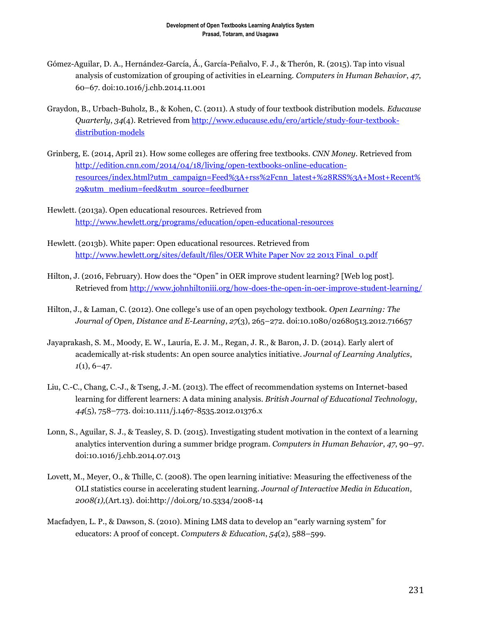- Gómez-Aguilar, D. A., Hernández-García, Á., García-Peñalvo, F. J., & Therón, R. (2015). Tap into visual analysis of customization of grouping of activities in eLearning. *Computers in Human Behavior*, *47*, 60–67. doi:10.1016/j.chb.2014.11.001
- Graydon, B., Urbach-Buholz, B., & Kohen, C. (2011). A study of four textbook distribution models. *Educause Quarterly*, *34*(4). Retrieved from [http://www.educause.edu/ero/article/study-four-textbook](http://www.educause.edu/ero/article/study-four-textbook-distribution-models)[distribution-models](http://www.educause.edu/ero/article/study-four-textbook-distribution-models)
- Grinberg, E. (2014, April 21). How some colleges are offering free textbooks. *CNN Money*. Retrieved from [http://edition.cnn.com/2014/04/18/living/open-textbooks-online-education](http://edition.cnn.com/2014/04/18/living/open-textbooks-online-education-resources/index.html?utm_campaign=Feed%3A+rss%2Fcnn_latest+%28RSS%3A+Most+Recent%29&utm_medium=feed&utm_source=feedburner)[resources/index.html?utm\\_campaign=Feed%3A+rss%2Fcnn\\_latest+%28RSS%3A+Most+Recent%](http://edition.cnn.com/2014/04/18/living/open-textbooks-online-education-resources/index.html?utm_campaign=Feed%3A+rss%2Fcnn_latest+%28RSS%3A+Most+Recent%29&utm_medium=feed&utm_source=feedburner) [29&utm\\_medium=feed&utm\\_source=feedburner](http://edition.cnn.com/2014/04/18/living/open-textbooks-online-education-resources/index.html?utm_campaign=Feed%3A+rss%2Fcnn_latest+%28RSS%3A+Most+Recent%29&utm_medium=feed&utm_source=feedburner)
- Hewlett. (2013a). Open educational resources. Retrieved from <http://www.hewlett.org/programs/education/open-educational-resources>
- Hewlett. (2013b). White paper: Open educational resources. Retrieved from [http://www.hewlett.org/sites/default/files/OER White Paper Nov 22 2013 Final\\_0.pdf](http://www.hewlett.org/sites/default/files/OER%20White%20Paper%20Nov%2022%202013%20Final_0.pdf)
- Hilton, J. (2016, February). How does the "Open" in OER improve student learning? [Web log post]. Retrieved from <http://www.johnhiltoniii.org/how-does-the-open-in-oer-improve-student-learning/>
- Hilton, J., & Laman, C. (2012). One college's use of an open psychology textbook. *Open Learning: The Journal of Open, Distance and E-Learning*, *27*(3), 265–272. doi:10.1080/02680513.2012.716657
- Jayaprakash, S. M., Moody, E. W., Lauría, E. J. M., Regan, J. R., & Baron, J. D. (2014). Early alert of academically at-risk students: An open source analytics initiative. *Journal of Learning Analytics*, *1*(1), 6–47.
- Liu, C.-C., Chang, C.-J., & Tseng, J.-M. (2013). The effect of recommendation systems on Internet-based learning for different learners: A data mining analysis. *British Journal of Educational Technology*, *44*(5), 758–773. doi:10.1111/j.1467-8535.2012.01376.x
- Lonn, S., Aguilar, S. J., & Teasley, S. D. (2015). Investigating student motivation in the context of a learning analytics intervention during a summer bridge program. *Computers in Human Behavior*, *47*, 90–97. doi:10.1016/j.chb.2014.07.013
- Lovett, M., Meyer, O., & Thille, C. (2008). The open learning initiative: Measuring the effectiveness of the OLI statistics course in accelerating student learning. *Journal of Interactive Media in Education*, *2008(1),*(Art.13). doi:http://doi.org/10.5334/2008-14
- Macfadyen, L. P., & Dawson, S. (2010). Mining LMS data to develop an "early warning system" for educators: A proof of concept. *Computers & Education*, *54*(2), 588–599.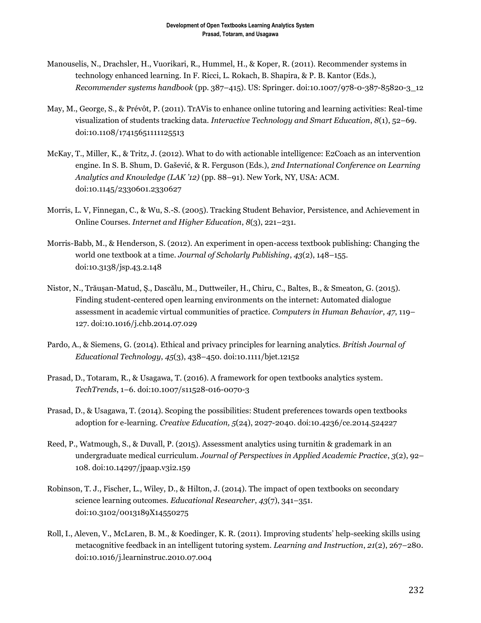- Manouselis, N., Drachsler, H., Vuorikari, R., Hummel, H., & Koper, R. (2011). Recommender systems in technology enhanced learning. In F. Ricci, L. Rokach, B. Shapira, & P. B. Kantor (Eds.), *Recommender systems handbook* (pp. 387–415). US: Springer. doi:10.1007/978-0-387-85820-3\_12
- May, M., George, S., & Prévôt, P. (2011). TrAVis to enhance online tutoring and learning activities: Real‐time visualization of students tracking data. *Interactive Technology and Smart Education*, *8*(1), 52–69. doi:10.1108/17415651111125513
- McKay, T., Miller, K., & Tritz, J. (2012). What to do with actionable intelligence: E2Coach as an intervention engine. In S. B. Shum, D. Gašević, & R. Ferguson (Eds.), *2nd International Conference on Learning Analytics and Knowledge (LAK '12)* (pp. 88–91). New York, NY, USA: ACM. doi:10.1145/2330601.2330627
- Morris, L. V, Finnegan, C., & Wu, S.-S. (2005). Tracking Student Behavior, Persistence, and Achievement in Online Courses. *Internet and Higher Education*, *8*(3), 221–231.
- Morris-Babb, M., & Henderson, S. (2012). An experiment in open-access textbook publishing: Changing the world one textbook at a time. *Journal of Scholarly Publishing*, *43*(2), 148–155. doi:10.3138/jsp.43.2.148
- Nistor, N., Trăuşan-Matud, Ş., Dascălu, M., Duttweiler, H., Chiru, C., Baltes, B., & Smeaton, G. (2015). Finding student-centered open learning environments on the internet: Automated dialogue assessment in academic virtual communities of practice. *Computers in Human Behavior*, *47*, 119– 127. doi:10.1016/j.chb.2014.07.029
- Pardo, A., & Siemens, G. (2014). Ethical and privacy principles for learning analytics. *British Journal of Educational Technology*, *45*(3), 438–450. doi:10.1111/bjet.12152
- Prasad, D., Totaram, R., & Usagawa, T. (2016). A framework for open textbooks analytics system. *TechTrends*, 1–6. doi:10.1007/s11528-016-0070-3
- Prasad, D., & Usagawa, T. (2014). Scoping the possibilities: Student preferences towards open textbooks adoption for e-learning. *Creative Education, 5*(24), 2027-2040. doi:10.4236/ce.2014.524227
- Reed, P., Watmough, S., & Duvall, P. (2015). Assessment analytics using turnitin & grademark in an undergraduate medical curriculum. *Journal of Perspectives in Applied Academic Practice*, *3*(2), 92– 108. doi:10.14297/jpaap.v3i2.159
- Robinson, T. J., Fischer, L., Wiley, D., & Hilton, J. (2014). The impact of open textbooks on secondary science learning outcomes. *Educational Researcher*, *43*(7), 341–351. doi:10.3102/0013189X14550275
- Roll, I., Aleven, V., McLaren, B. M., & Koedinger, K. R. (2011). Improving students' help-seeking skills using metacognitive feedback in an intelligent tutoring system. *Learning and Instruction*, *21*(2), 267–280. doi:10.1016/j.learninstruc.2010.07.004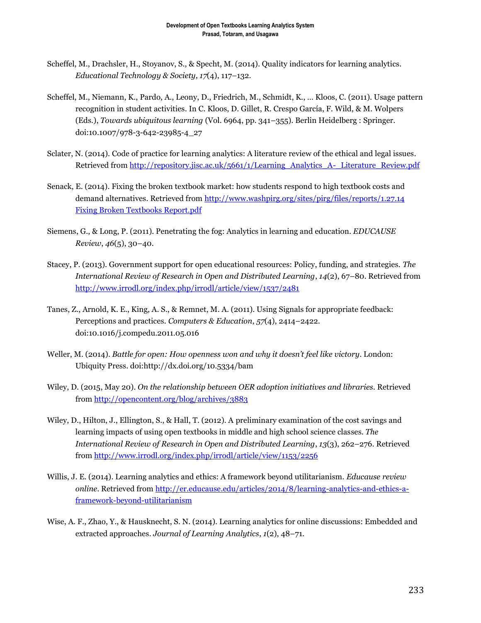- Scheffel, M., Drachsler, H., Stoyanov, S., & Specht, M. (2014). Quality indicators for learning analytics. *Educational Technology & Society*, *17*(4), 117–132.
- Scheffel, M., Niemann, K., Pardo, A., Leony, D., Friedrich, M., Schmidt, K., … Kloos, C. (2011). Usage pattern recognition in student activities. In C. Kloos, D. Gillet, R. Crespo García, F. Wild, & M. Wolpers (Eds.), *Towards ubiquitous learning* (Vol. 6964, pp. 341–355). Berlin Heidelberg : Springer. doi:10.1007/978-3-642-23985-4\_27
- Sclater, N. (2014). Code of practice for learning analytics: A literature review of the ethical and legal issues. Retrieved from [http://repository.jisc.ac.uk/5661/1/Learning\\_Analytics\\_A-\\_Literature\\_Review.pdf](http://repository.jisc.ac.uk/5661/1/Learning_Analytics_A-_Literature_Review.pdf)
- Senack, E. (2014). Fixing the broken textbook market: how students respond to high textbook costs and demand alternatives. Retrieved from http://www.washpirg.org/sites/pirg/files/reports/1.27.14 [Fixing Broken Textbooks Report.pdf](http://www.washpirg.org/sites/pirg/files/reports/1.27.14%20Fixing%20Broken%20Textbooks%20Report.pdf)
- Siemens, G., & Long, P. (2011). Penetrating the fog: Analytics in learning and education. *EDUCAUSE Review*, *46*(5), 30–40.
- Stacey, P. (2013). Government support for open educational resources: Policy, funding, and strategies. *The International Review of Research in Open and Distributed Learning*, *14*(2), 67–80. Retrieved from <http://www.irrodl.org/index.php/irrodl/article/view/1537/2481>
- Tanes, Z., Arnold, K. E., King, A. S., & Remnet, M. A. (2011). Using Signals for appropriate feedback: Perceptions and practices. *Computers & Education*, *57*(4), 2414–2422. doi:10.1016/j.compedu.2011.05.016
- Weller, M. (2014). *Battle for open: How openness won and why it doesn't feel like victory*. London: Ubiquity Press. doi:http://dx.doi.org/10.5334/bam
- Wiley, D. (2015, May 20). *On the relationship between OER adoption initiatives and libraries*. Retrieved from<http://opencontent.org/blog/archives/3883>
- Wiley, D., Hilton, J., Ellington, S., & Hall, T. (2012). A preliminary examination of the cost savings and learning impacts of using open textbooks in middle and high school science classes. *The International Review of Research in Open and Distributed Learning*, *13*(3), 262–276. Retrieved from<http://www.irrodl.org/index.php/irrodl/article/view/1153/2256>
- Willis, J. E. (2014). Learning analytics and ethics: A framework beyond utilitarianism. *Educause review online*. Retrieved from [http://er.educause.edu/articles/2014/8/learning-analytics-and-ethics-a](http://er.educause.edu/articles/2014/8/learning-analytics-and-ethics-a-framework-beyond-utilitarianism)[framework-beyond-utilitarianism](http://er.educause.edu/articles/2014/8/learning-analytics-and-ethics-a-framework-beyond-utilitarianism)
- Wise, A. F., Zhao, Y., & Hausknecht, S. N. (2014). Learning analytics for online discussions: Embedded and extracted approaches. *Journal of Learning Analytics*, *1*(2), 48–71.